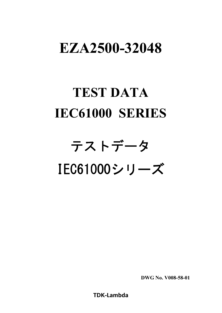# **EZA2500-32048**

# **TEST DATA IEC61000 SERIES**

# テストデータ IEC61000シリーズ

**DWG No. V008-58-01**

**TDK-Lambda**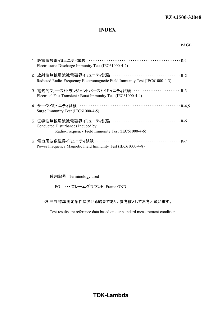#### **INDEX**

| Electrostatic Discharge Immunity Test (IEC61000-4-2)                                                                         |
|------------------------------------------------------------------------------------------------------------------------------|
| Radiated Radio-Frequency Electromagnetic Field Immunity Test (IEC61000-4-3)                                                  |
| 3. 電気的ファーストトランジェントバーストイミュニティ試験 ・・・・・・・・・・・・・・・・・・・・・・・ R-3<br>Electrical Fast Transient / Burst Immunity Test (IEC61000-4-4) |
| Surge Immunity Test (IEC61000-4-5)                                                                                           |
| 5. 伝導性無線周波数電磁界イミュニティ試験<br>Conducted Disturbances Induced by<br>Radio-Frequency Field Immunity Test (IEC61000-4-6)            |
| Power Frequency Magnetic Field Immunity Test (IEC61000-4-8)                                                                  |

使用記号 Terminology used

FG ・・・・・ フレームグラウンド Frame GND

※ 当社標準測定条件における結果であり、参考値としてお考え願います。

Test results are reference data based on our standard measurement condition.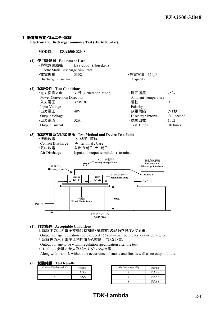

#### **(4)** 判定条件 **Acceptable Conditions**

1. 試験中の出力電圧変動は初期値(試験前)の±5%を限度とする事。

Output voltage regulation not to exceed  $\pm 5\%$  of initial (before test) value during test.

2. 試験後の出力電圧は初期値から変動していない事。

- Output voltage to be within regulation specification after the test.
- 3. 1、2共に発煙/発火及び出力ダウンなき事。

Along with 1 and 2, without the occurrence of smoke and fire, as well as no output failure.

#### **(5)** 試験結果 **Test Results**

| $P \rightarrow P \rightarrow P \rightarrow P$<br><b>Lest Incomedy</b> |                  |  |                   |
|-----------------------------------------------------------------------|------------------|--|-------------------|
| Contact Discharge(kV)                                                 | Results          |  | Air Discharge(kV) |
|                                                                       | PASS             |  |                   |
|                                                                       | $9 \triangle CC$ |  |                   |

| Results | Air Discharge(kV) | Results     |
|---------|-------------------|-------------|
| PASS    |                   | <b>PASS</b> |
| PASS    |                   | PASS        |
|         |                   | PASS        |

## **TDK-Lambda** R-1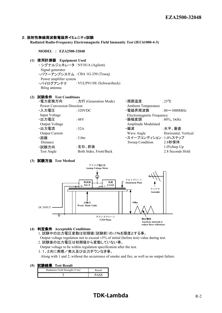#### 2. 放射性無線周波数電磁界イミュニティ試験

**Radiated Radio-Frequency Electromagnetic Field Immunity Test (IEC61000-4-3)**

**MODEL** : **EZA2500-32048**

#### **(1)** 使用計測器  **Equipment Used**

・ シグナルジェネレータ :N5181A (Agilent) Signal generator ・パワーアンプシステム :CBA 1G-250 (Teseq) Power amplifier system ・バイログアンテナ :VULP9118E (Schwarzbeck) Bilog antenna

### **(2)** 試験条件 **Test Conditions**

| ・電力変換方向                           | : 力行 (Generation Mode) | ・周囲温度                      | :25 $\degree$ C      |
|-----------------------------------|------------------------|----------------------------|----------------------|
| <b>Power Conversion Direction</b> |                        | <b>Ambient Temperature</b> |                      |
| ・入力電圧                             | :320VDC                | ·電磁界周波数                    | $:80 \sim 1000 MHz$  |
| Input Voltage                     |                        | Electromagnetic Frequency  |                      |
| ・出力電圧                             | :48V                   | ・振幅変調                      | $:80\%$ , 1kHz       |
| Output Voltage                    |                        | Amplitude Modulated        |                      |
| ・出力電流                             | :52A                   | ・偏波                        | :水平、垂直               |
| <b>Output Current</b>             |                        | Wave Angle                 | Horizontal, Vertical |
| ・距離                               | :3.0 <sub>m</sub>      | ・スイープコンディション :1.0%ステップ     |                      |
| Distance                          |                        | Sweep Condition            | 2.8秒保持               |
| ・試験方向                             | :左右、前後                 |                            | $1.0\%$ Step Up      |
| Test Angle                        | Both Sides, Front/Back |                            | 2.8 Seconds Hold     |
|                                   |                        |                            |                      |

#### **(3)** 試験方法 **Test Method**



#### **(4)** 判定条件 **Acceptable Conditions**

1. 試験中の出力電圧変動は初期値(試験前)の±5%を限度とする事。

Output voltage regulation not to exceed  $\pm 5\%$  of initial (before test) value during test.

2. 試験後の出力電圧は初期値から変動していない事。

Output voltage to be within regulation specification after the test.

3.1、2共に発煙/発火及び出力ダウンなき事。

Along with 1 and 2, without the occurrence of smoke and fire, as well as no output failure.

**(5)** 試験結果 **Test Result**

| Radiation Field Strength (V/m) | Result      |
|--------------------------------|-------------|
|                                | <b>PASS</b> |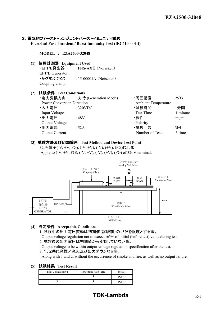#### 3. 電気的ファーストトランジェントバーストイミュニティ試験

**Electrical Fast Transient / Burst Immunity Test (IEC61000-4-4)**

#### **MODEL** : **EZA2500-32048**

**(1)** 使用計測器 **Equipment Used**

•EFT/B発生器 · FNS-AX Π (Noiseken) EFT/B Generator  $\cdot$ カップリングクランプ :15-00001A (Noiseken) Coupling clamp

#### **(2)** 試験条件 **Test Conditions**

| ・電力変換方向                           | : 力行 (Generation Mode) | ·周囲温度                      | :25 $\degree$ C |
|-----------------------------------|------------------------|----------------------------|-----------------|
| <b>Power Conversion Direction</b> |                        | <b>Ambient Temperature</b> |                 |
| ・入力電圧                             | :320 $VDC$             | ·試験時間                      | :1分間            |
| Input Voltage                     |                        | <b>Test Time</b>           | 1 minute        |
| ・出力電圧                             | $\pm 48V$              | ・極性                        | $: +, -$        |
| Output Voltage                    |                        | Polarity                   |                 |
| ・出力電流                             | :52A                   | ·試験回数                      | :3回             |
| <b>Output Current</b>             |                        | Number of Tests            | 3 times         |

#### **(3)** 試験方法及び印加箇所 **Test Method and Device Test Point**

320V端子(-V, +V, FG), (-V, +V), (-V), (+V), (FG)に印加 Apply to  $(-V, +V, FG)$ ,  $(-V, +V)$ ,  $(-V)$ ,  $(+V)$ ,  $(FG)$  of 320V terminal.



#### **(4)** 判定条件 **Acceptable Conditions**

1. 試験中の出力電圧変動は初期値(試験前)の±5%を限度とする事。

Output voltage regulation not to exceed  $\pm 5\%$  of initial (before test) value during test. 2. 試験後の出力電圧は初期値から変動していない事。

Output voltage to be within output voltage regulation specification after the test.

3.1、2共に発煙/発火及び出力ダウンなき事。

Along with 1 and 2, without the occurrence of smoke and fire, as well as no output failure.

#### **(5)** 試験結果 **Test Result**

| Test Voltage (kV) | Repetition Rate (kHz) | Results |
|-------------------|-----------------------|---------|
|                   |                       | PASS    |
|                   |                       | PASS    |

## **TDK-Lambda** R-3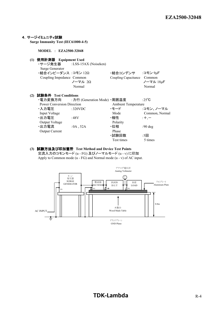

#### **(3)** 試験方法及び印加箇所 **Test Method and Device Test Points**

交流入力のコモンモード (u - FG) 及びノーマルモード (u - v) に印加 Apply to Common mode (u - FG) and Normal mode (u - v) of AC input.

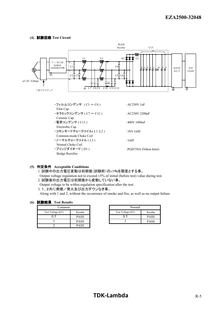#### **(4)** 試験回路 **Test Circuit**



#### **(5)** 判定条件 **Acceptable Conditions**

1. 試験中の出力電圧変動は初期値(試験前)の±5%を限度とする事。

Output voltage regulation not to exceed  $\pm 5\%$  of initial (before test) value during test.

2. 試験後の出力電圧は初期値から変動していない事。

Output voltage to be within regulation specification after the test.

3.1、2共に発煙/発火及び出力ダウンなき事。

Along with 1 and 2, without the occurrence of smoke and fire, as well as no output failure.

#### **(6)** 試験結果 **Test Results**

| Common            |             | Normal            |
|-------------------|-------------|-------------------|
| Test Voltage (kV) | Results     | Test Voltage (kV) |
|                   | <b>PASS</b> |                   |
|                   | <b>PASS</b> |                   |
|                   | <b>PASS</b> |                   |

|             | Normal            |             |  |
|-------------|-------------------|-------------|--|
| Results     | Test Voltage (kV) | Results     |  |
| <b>PASS</b> |                   | <b>PASS</b> |  |
| <b>PASS</b> |                   | <b>PASS</b> |  |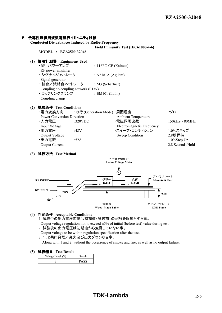#### 5. 伝導性無線周波数電磁界イミュニティ試験

**Conducted Disturbances Induced by Radio-Frequency**

#### **Field Immunity Test (IEC61000-4-6) MODEL** : **EZA2500-32048**

#### **(1)** 使用計測器  **Equipment Used** : 116FC-CE (Kalmus) RF power amplifier ・ シグナルジェネレータ : N5181A (Agilent) Signal generator ・結合/減結合ネットワーク : M3 (Schaffner) Coupling de-coupling network (CDN) ・ カップリングクランプ : EM101 (Luthi) Coupling clamp

#### **(2)** 試験条件 **Test Conditions**



#### **(3)** 試験方法 **Test Method**



#### **(4)** 判定条件 **Acceptable Conditions**

1. 試験中の出力電圧変動は初期値(試験前)の±5%を限度とする事。 Output voltage regulation not to exceed  $\pm 5\%$  of initial (before test) value during test.

2. 試験後の出力電圧は初期値から変動していない事。

Output voltage to be within regulation specification after the test.

3.1、2共に発煙/発火及び出力ダウンなき事。

Along with 1 and 2, without the occurrence of smoke and fire, as well as no output failure.

#### **(5)** 試験結果 **Test Result**

| ------<br>1 VOL 18VOUIL |        |  |
|-------------------------|--------|--|
| Voltage Level (V)       | Result |  |
|                         |        |  |